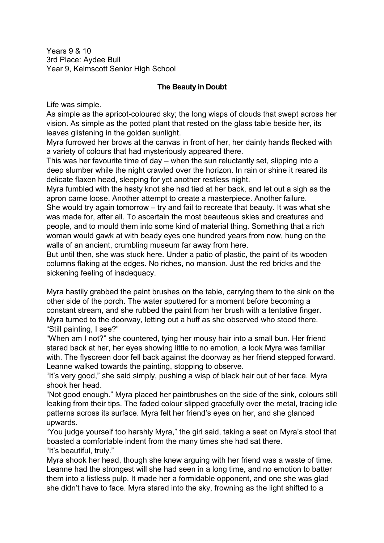Years 9 & 10 3rd Place: Aydee Bull Year 9, Kelmscott Senior High School

## **The Beauty in Doubt**

Life was simple.

As simple as the apricot-coloured sky; the long wisps of clouds that swept across her vision. As simple as the potted plant that rested on the glass table beside her, its leaves glistening in the golden sunlight.

Myra furrowed her brows at the canvas in front of her, her dainty hands flecked with a variety of colours that had mysteriously appeared there.

This was her favourite time of day – when the sun reluctantly set, slipping into a deep slumber while the night crawled over the horizon. In rain or shine it reared its delicate flaxen head, sleeping for yet another restless night.

Myra fumbled with the hasty knot she had tied at her back, and let out a sigh as the apron came loose. Another attempt to create a masterpiece. Another failure.

She would try again tomorrow – try and fail to recreate that beauty. It was what she was made for, after all. To ascertain the most beauteous skies and creatures and people, and to mould them into some kind of material thing. Something that a rich woman would gawk at with beady eyes one hundred years from now, hung on the walls of an ancient, crumbling museum far away from here.

But until then, she was stuck here. Under a patio of plastic, the paint of its wooden columns flaking at the edges. No riches, no mansion. Just the red bricks and the sickening feeling of inadequacy.

Myra hastily grabbed the paint brushes on the table, carrying them to the sink on the other side of the porch. The water sputtered for a moment before becoming a constant stream, and she rubbed the paint from her brush with a tentative finger. Myra turned to the doorway, letting out a huff as she observed who stood there. "Still painting, I see?"

"When am I not?" she countered, tying her mousy hair into a small bun. Her friend stared back at her, her eyes showing little to no emotion, a look Myra was familiar with. The flyscreen door fell back against the doorway as her friend stepped forward. Leanne walked towards the painting, stopping to observe.

"It's very good," she said simply, pushing a wisp of black hair out of her face. Myra shook her head.

"Not good enough." Myra placed her paintbrushes on the side of the sink, colours still leaking from their tips. The faded colour slipped gracefully over the metal, tracing idle patterns across its surface. Myra felt her friend's eyes on her, and she glanced upwards.

"You judge yourself too harshly Myra," the girl said, taking a seat on Myra's stool that boasted a comfortable indent from the many times she had sat there. "It's beautiful, truly."

Myra shook her head, though she knew arguing with her friend was a waste of time. Leanne had the strongest will she had seen in a long time, and no emotion to batter them into a listless pulp. It made her a formidable opponent, and one she was glad she didn't have to face. Myra stared into the sky, frowning as the light shifted to a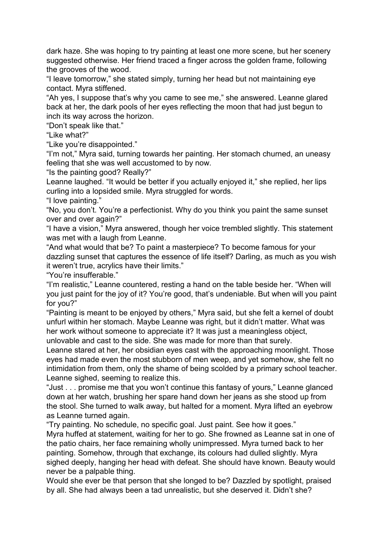dark haze. She was hoping to try painting at least one more scene, but her scenery suggested otherwise. Her friend traced a finger across the golden frame, following the grooves of the wood.

"I leave tomorrow," she stated simply, turning her head but not maintaining eye contact. Myra stiffened.

"Ah yes, I suppose that's why you came to see me," she answered. Leanne glared back at her, the dark pools of her eyes reflecting the moon that had just begun to inch its way across the horizon.

"Don't speak like that."

"Like what?"

"Like you're disappointed."

"I'm not," Myra said, turning towards her painting. Her stomach churned, an uneasy feeling that she was well accustomed to by now.

"Is the painting good? Really?"

Leanne laughed. "It would be better if you actually enjoyed it," she replied, her lips curling into a lopsided smile. Myra struggled for words.

"I love painting."

"No, you don't. You're a perfectionist. Why do you think you paint the same sunset over and over again?"

"I have a vision," Myra answered, though her voice trembled slightly. This statement was met with a laugh from Leanne.

"And what would that be? To paint a masterpiece? To become famous for your dazzling sunset that captures the essence of life itself? Darling, as much as you wish it weren't true, acrylics have their limits."

"You're insufferable."

"I'm realistic," Leanne countered, resting a hand on the table beside her. "When will you just paint for the joy of it? You're good, that's undeniable. But when will you paint for you?"

"Painting is meant to be enjoyed by others," Myra said, but she felt a kernel of doubt unfurl within her stomach. Maybe Leanne was right, but it didn't matter. What was her work without someone to appreciate it? It was just a meaningless object, unlovable and cast to the side. She was made for more than that surely.

Leanne stared at her, her obsidian eyes cast with the approaching moonlight. Those eyes had made even the most stubborn of men weep, and yet somehow, she felt no intimidation from them, only the shame of being scolded by a primary school teacher. Leanne sighed, seeming to realize this.

"Just . . . promise me that you won't continue this fantasy of yours," Leanne glanced down at her watch, brushing her spare hand down her jeans as she stood up from the stool. She turned to walk away, but halted for a moment. Myra lifted an eyebrow as Leanne turned again.

"Try painting. No schedule, no specific goal. Just paint. See how it goes." Myra huffed at statement, waiting for her to go. She frowned as Leanne sat in one of the patio chairs, her face remaining wholly unimpressed. Myra turned back to her painting. Somehow, through that exchange, its colours had dulled slightly. Myra sighed deeply, hanging her head with defeat. She should have known. Beauty would never be a palpable thing.

Would she ever be that person that she longed to be? Dazzled by spotlight, praised by all. She had always been a tad unrealistic, but she deserved it. Didn't she?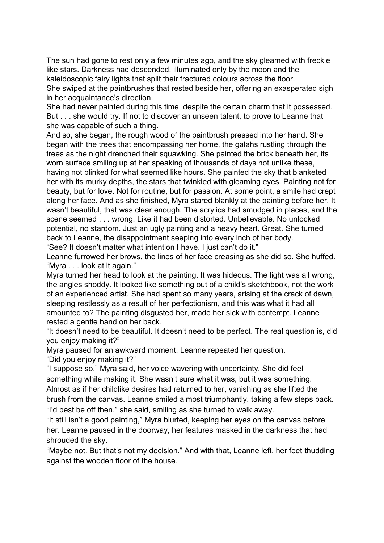The sun had gone to rest only a few minutes ago, and the sky gleamed with freckle like stars. Darkness had descended, illuminated only by the moon and the kaleidoscopic fairy lights that spilt their fractured colours across the floor. She swiped at the paintbrushes that rested beside her, offering an exasperated sigh in her acquaintance's direction.

She had never painted during this time, despite the certain charm that it possessed. But . . . she would try. If not to discover an unseen talent, to prove to Leanne that she was capable of such a thing.

And so, she began, the rough wood of the paintbrush pressed into her hand. She began with the trees that encompassing her home, the galahs rustling through the trees as the night drenched their squawking. She painted the brick beneath her, its worn surface smiling up at her speaking of thousands of days not unlike these, having not blinked for what seemed like hours. She painted the sky that blanketed her with its murky depths, the stars that twinkled with gleaming eyes. Painting not for beauty, but for love. Not for routine, but for passion. At some point, a smile had crept along her face. And as she finished, Myra stared blankly at the painting before her. It wasn't beautiful, that was clear enough. The acrylics had smudged in places, and the scene seemed . . . wrong. Like it had been distorted. Unbelievable. No unlocked potential, no stardom. Just an ugly painting and a heavy heart. Great. She turned back to Leanne, the disappointment seeping into every inch of her body.

"See? It doesn't matter what intention I have. I just can't do it."

Leanne furrowed her brows, the lines of her face creasing as she did so. She huffed. "Myra . . . look at it again."

Myra turned her head to look at the painting. It was hideous. The light was all wrong, the angles shoddy. It looked like something out of a child's sketchbook, not the work of an experienced artist. She had spent so many years, arising at the crack of dawn, sleeping restlessly as a result of her perfectionism, and this was what it had all amounted to? The painting disgusted her, made her sick with contempt. Leanne rested a gentle hand on her back.

"It doesn't need to be beautiful. It doesn't need to be perfect. The real question is, did you enjoy making it?"

Myra paused for an awkward moment. Leanne repeated her question.

"Did you enjoy making it?"

"I suppose so," Myra said, her voice wavering with uncertainty. She did feel something while making it. She wasn't sure what it was, but it was something. Almost as if her childlike desires had returned to her, vanishing as she lifted the brush from the canvas. Leanne smiled almost triumphantly, taking a few steps back. "I'd best be off then," she said, smiling as she turned to walk away.

"It still isn't a good painting," Myra blurted, keeping her eyes on the canvas before her. Leanne paused in the doorway, her features masked in the darkness that had shrouded the sky.

"Maybe not. But that's not my decision." And with that, Leanne left, her feet thudding against the wooden floor of the house.